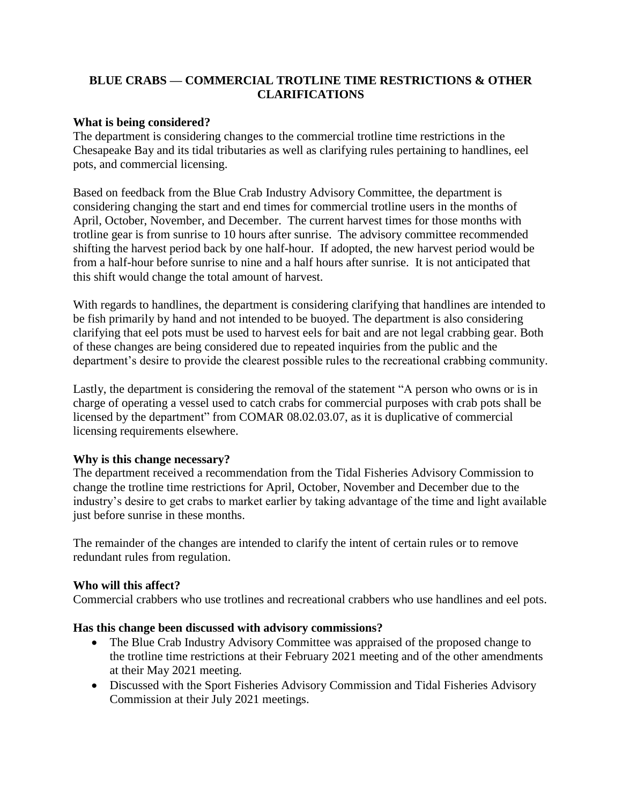# **BLUE CRABS — COMMERCIAL TROTLINE TIME RESTRICTIONS & OTHER CLARIFICATIONS**

## **What is being considered?**

The department is considering changes to the commercial trotline time restrictions in the Chesapeake Bay and its tidal tributaries as well as clarifying rules pertaining to handlines, eel pots, and commercial licensing.

Based on feedback from the Blue Crab Industry Advisory Committee, the department is considering changing the start and end times for commercial trotline users in the months of April, October, November, and December. The current harvest times for those months with trotline gear is from sunrise to 10 hours after sunrise. The advisory committee recommended shifting the harvest period back by one half-hour. If adopted, the new harvest period would be from a half-hour before sunrise to nine and a half hours after sunrise. It is not anticipated that this shift would change the total amount of harvest.

With regards to handlines, the department is considering clarifying that handlines are intended to be fish primarily by hand and not intended to be buoyed. The department is also considering clarifying that eel pots must be used to harvest eels for bait and are not legal crabbing gear. Both of these changes are being considered due to repeated inquiries from the public and the department's desire to provide the clearest possible rules to the recreational crabbing community.

Lastly, the department is considering the removal of the statement "A person who owns or is in charge of operating a vessel used to catch crabs for commercial purposes with crab pots shall be licensed by the department" from COMAR 08.02.03.07, as it is duplicative of commercial licensing requirements elsewhere.

#### **Why is this change necessary?**

The department received a recommendation from the Tidal Fisheries Advisory Commission to change the trotline time restrictions for April, October, November and December due to the industry's desire to get crabs to market earlier by taking advantage of the time and light available just before sunrise in these months.

The remainder of the changes are intended to clarify the intent of certain rules or to remove redundant rules from regulation.

#### **Who will this affect?**

Commercial crabbers who use trotlines and recreational crabbers who use handlines and eel pots.

#### **Has this change been discussed with advisory commissions?**

- The Blue Crab Industry Advisory Committee was appraised of the proposed change to the trotline time restrictions at their February 2021 meeting and of the other amendments at their May 2021 meeting.
- Discussed with the Sport Fisheries Advisory Commission and Tidal Fisheries Advisory Commission at their July 2021 meetings.